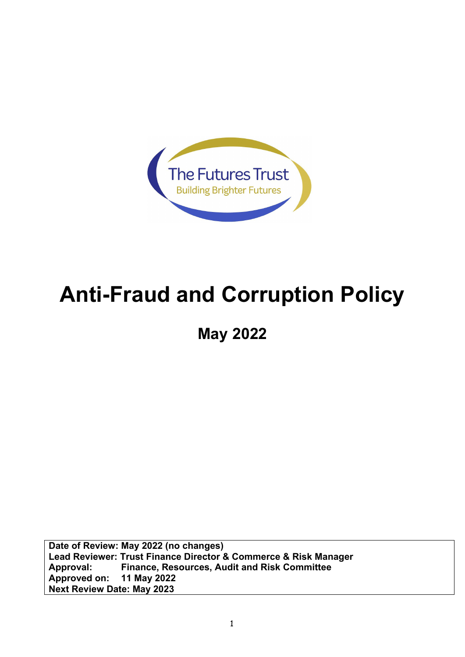

# **Anti-Fraud and Corruption Policy**

**May 2022**

**Date of Review: May 2022 (no changes) Lead Reviewer: Trust Finance Director & Commerce & Risk Manager Approval: Finance, Resources, Audit and Risk Committee Approved on: 11 May 2022 Next Review Date: May 2023**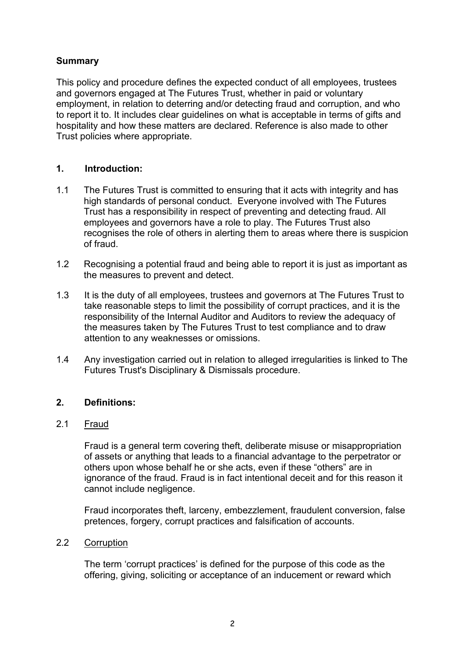# **Summary**

This policy and procedure defines the expected conduct of all employees, trustees and governors engaged at The Futures Trust, whether in paid or voluntary employment, in relation to deterring and/or detecting fraud and corruption, and who to report it to. It includes clear guidelines on what is acceptable in terms of gifts and hospitality and how these matters are declared. Reference is also made to other Trust policies where appropriate.

## **1. Introduction:**

- 1.1 The Futures Trust is committed to ensuring that it acts with integrity and has high standards of personal conduct. Everyone involved with The Futures Trust has a responsibility in respect of preventing and detecting fraud. All employees and governors have a role to play. The Futures Trust also recognises the role of others in alerting them to areas where there is suspicion of fraud.
- 1.2 Recognising a potential fraud and being able to report it is just as important as the measures to prevent and detect.
- 1.3 It is the duty of all employees, trustees and governors at The Futures Trust to take reasonable steps to limit the possibility of corrupt practices, and it is the responsibility of the Internal Auditor and Auditors to review the adequacy of the measures taken by The Futures Trust to test compliance and to draw attention to any weaknesses or omissions.
- 1.4 Any investigation carried out in relation to alleged irregularities is linked to The Futures Trust's Disciplinary & Dismissals procedure.

## **2. Definitions:**

## 2.1 Fraud

Fraud is a general term covering theft, deliberate misuse or misappropriation of assets or anything that leads to a financial advantage to the perpetrator or others upon whose behalf he or she acts, even if these "others" are in ignorance of the fraud. Fraud is in fact intentional deceit and for this reason it cannot include negligence.

Fraud incorporates theft, larceny, embezzlement, fraudulent conversion, false pretences, forgery, corrupt practices and falsification of accounts.

## 2.2 Corruption

The term 'corrupt practices' is defined for the purpose of this code as the offering, giving, soliciting or acceptance of an inducement or reward which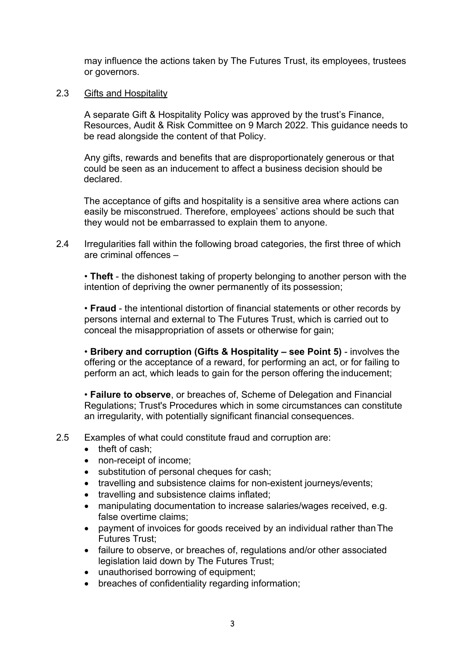may influence the actions taken by The Futures Trust, its employees, trustees or governors.

#### 2.3 Gifts and Hospitality

A separate Gift & Hospitality Policy was approved by the trust's Finance, Resources, Audit & Risk Committee on 9 March 2022. This guidance needs to be read alongside the content of that Policy.

Any gifts, rewards and benefits that are disproportionately generous or that could be seen as an inducement to affect a business decision should be declared.

The acceptance of gifts and hospitality is a sensitive area where actions can easily be misconstrued. Therefore, employees' actions should be such that they would not be embarrassed to explain them to anyone.

2.4 Irregularities fall within the following broad categories, the first three of which are criminal offences –

• **Theft** - the dishonest taking of property belonging to another person with the intention of depriving the owner permanently of its possession;

• **Fraud** - the intentional distortion of financial statements or other records by persons internal and external to The Futures Trust, which is carried out to conceal the misappropriation of assets or otherwise for gain;

• **Bribery and corruption (Gifts & Hospitality – see Point 5)** - involves the offering or the acceptance of a reward, for performing an act, or for failing to perform an act, which leads to gain for the person offering the inducement;

• **Failure to observe**, or breaches of, Scheme of Delegation and Financial Regulations; Trust's Procedures which in some circumstances can constitute an irregularity, with potentially significant financial consequences.

2.5 Examples of what could constitute fraud and corruption are:

- theft of cash;
- non-receipt of income:
- substitution of personal cheques for cash;
- travelling and subsistence claims for non-existent journeys/events:
- travelling and subsistence claims inflated;
- manipulating documentation to increase salaries/wages received, e.g. false overtime claims;
- payment of invoices for goods received by an individual rather than The Futures Trust;
- failure to observe, or breaches of, regulations and/or other associated legislation laid down by The Futures Trust;
- unauthorised borrowing of equipment;
- breaches of confidentiality regarding information;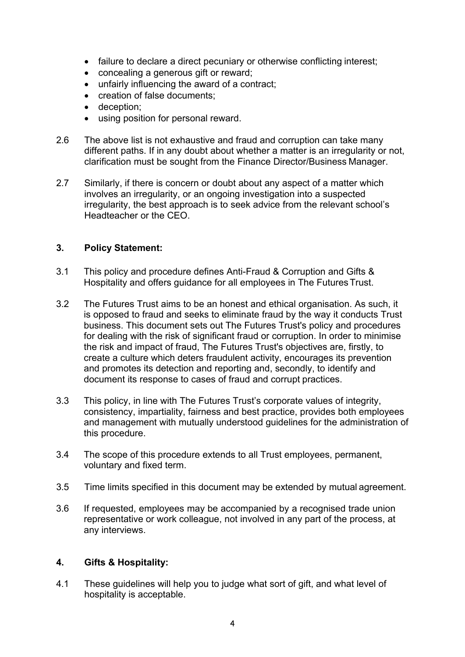- failure to declare a direct pecuniary or otherwise conflicting interest;
- concealing a generous gift or reward;
- unfairly influencing the award of a contract;
- creation of false documents;
- deception;
- using position for personal reward.
- 2.6 The above list is not exhaustive and fraud and corruption can take many different paths. If in any doubt about whether a matter is an irregularity or not, clarification must be sought from the Finance Director/Business Manager.
- 2.7 Similarly, if there is concern or doubt about any aspect of a matter which involves an irregularity, or an ongoing investigation into a suspected irregularity, the best approach is to seek advice from the relevant school's Headteacher or the CEO.

## **3. Policy Statement:**

- 3.1 This policy and procedure defines Anti-Fraud & Corruption and Gifts & Hospitality and offers guidance for all employees in The FuturesTrust.
- 3.2 The Futures Trust aims to be an honest and ethical organisation. As such, it is opposed to fraud and seeks to eliminate fraud by the way it conducts Trust business. This document sets out The Futures Trust's policy and procedures for dealing with the risk of significant fraud or corruption. In order to minimise the risk and impact of fraud, The Futures Trust's objectives are, firstly, to create a culture which deters fraudulent activity, encourages its prevention and promotes its detection and reporting and, secondly, to identify and document its response to cases of fraud and corrupt practices.
- 3.3 This policy, in line with The Futures Trust's corporate values of integrity, consistency, impartiality, fairness and best practice, provides both employees and management with mutually understood guidelines for the administration of this procedure.
- 3.4 The scope of this procedure extends to all Trust employees, permanent, voluntary and fixed term.
- 3.5 Time limits specified in this document may be extended by mutual agreement.
- 3.6 If requested, employees may be accompanied by a recognised trade union representative or work colleague, not involved in any part of the process, at any interviews.

#### **4. Gifts & Hospitality:**

4.1 These guidelines will help you to judge what sort of gift, and what level of hospitality is acceptable.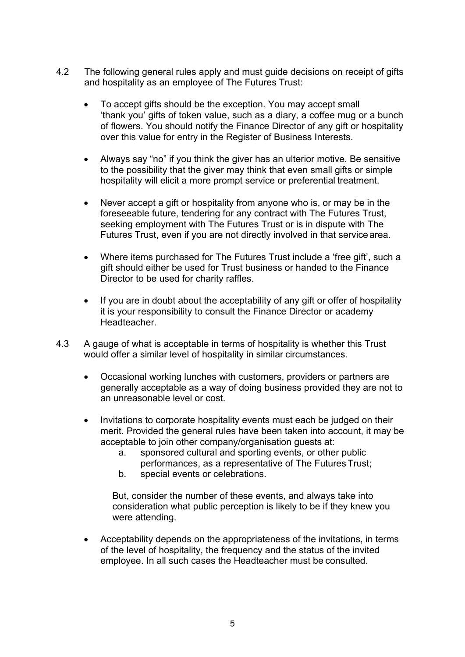- 4.2 The following general rules apply and must guide decisions on receipt of gifts and hospitality as an employee of The Futures Trust:
	- To accept gifts should be the exception. You may accept small 'thank you' gifts of token value, such as a diary, a coffee mug or a bunch of flowers. You should notify the Finance Director of any gift or hospitality over this value for entry in the Register of Business Interests.
	- Always say "no" if you think the giver has an ulterior motive. Be sensitive to the possibility that the giver may think that even small gifts or simple hospitality will elicit a more prompt service or preferential treatment.
	- Never accept a gift or hospitality from anyone who is, or may be in the foreseeable future, tendering for any contract with The Futures Trust, seeking employment with The Futures Trust or is in dispute with The Futures Trust, even if you are not directly involved in that servicearea.
	- Where items purchased for The Futures Trust include a 'free gift', such a gift should either be used for Trust business or handed to the Finance Director to be used for charity raffles.
	- If you are in doubt about the acceptability of any gift or offer of hospitality it is your responsibility to consult the Finance Director or academy Headteacher.
- 4.3 A gauge of what is acceptable in terms of hospitality is whether this Trust would offer a similar level of hospitality in similar circumstances.
	- Occasional working lunches with customers, providers or partners are generally acceptable as a way of doing business provided they are not to an unreasonable level or cost.
	- Invitations to corporate hospitality events must each be judged on their merit. Provided the general rules have been taken into account, it may be acceptable to join other company/organisation guests at:
		- a. sponsored cultural and sporting events, or other public performances, as a representative of The Futures Trust;
		- b. special events or celebrations.

But, consider the number of these events, and always take into consideration what public perception is likely to be if they knew you were attending.

• Acceptability depends on the appropriateness of the invitations, in terms of the level of hospitality, the frequency and the status of the invited employee. In all such cases the Headteacher must be consulted.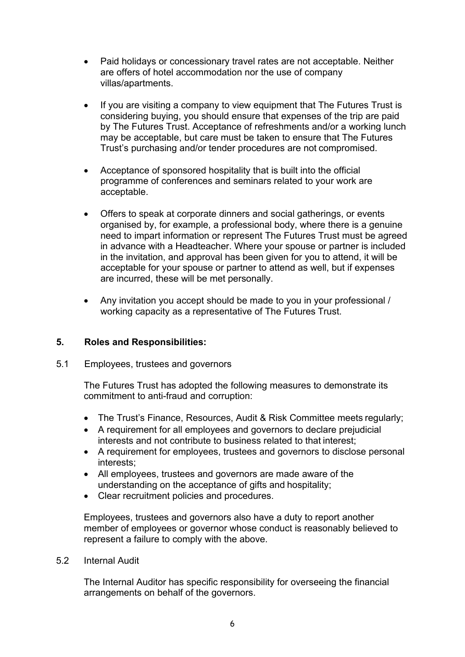- Paid holidays or concessionary travel rates are not acceptable. Neither are offers of hotel accommodation nor the use of company villas/apartments.
- If you are visiting a company to view equipment that The Futures Trust is considering buying, you should ensure that expenses of the trip are paid by The Futures Trust. Acceptance of refreshments and/or a working lunch may be acceptable, but care must be taken to ensure that The Futures Trust's purchasing and/or tender procedures are not compromised.
- Acceptance of sponsored hospitality that is built into the official programme of conferences and seminars related to your work are acceptable.
- Offers to speak at corporate dinners and social gatherings, or events organised by, for example, a professional body, where there is a genuine need to impart information or represent The Futures Trust must be agreed in advance with a Headteacher. Where your spouse or partner is included in the invitation, and approval has been given for you to attend, it will be acceptable for your spouse or partner to attend as well, but if expenses are incurred, these will be met personally.
- Any invitation you accept should be made to you in your professional / working capacity as a representative of The Futures Trust.

#### **5. Roles and Responsibilities:**

#### 5.1 Employees, trustees and governors

The Futures Trust has adopted the following measures to demonstrate its commitment to anti-fraud and corruption:

- The Trust's Finance, Resources, Audit & Risk Committee meets regularly;
- A requirement for all employees and governors to declare prejudicial interests and not contribute to business related to that interest;
- A requirement for employees, trustees and governors to disclose personal interests;
- All employees, trustees and governors are made aware of the understanding on the acceptance of gifts and hospitality;
- Clear recruitment policies and procedures.

Employees, trustees and governors also have a duty to report another member of employees or governor whose conduct is reasonably believed to represent a failure to comply with the above.

5.2 Internal Audit

The Internal Auditor has specific responsibility for overseeing the financial arrangements on behalf of the governors.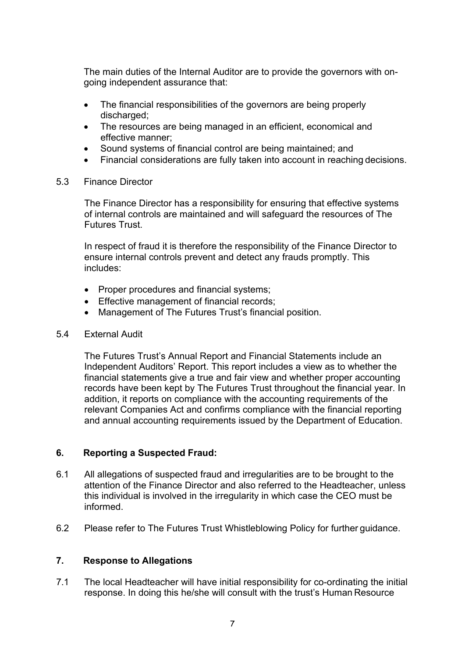The main duties of the Internal Auditor are to provide the governors with ongoing independent assurance that:

- The financial responsibilities of the governors are being properly discharged;
- The resources are being managed in an efficient, economical and effective manner;
- Sound systems of financial control are being maintained; and
- Financial considerations are fully taken into account in reaching decisions.

#### 5.3 Finance Director

The Finance Director has a responsibility for ensuring that effective systems of internal controls are maintained and will safeguard the resources of The Futures Trust.

In respect of fraud it is therefore the responsibility of the Finance Director to ensure internal controls prevent and detect any frauds promptly. This includes:

- Proper procedures and financial systems;
- Effective management of financial records;
- Management of The Futures Trust's financial position.

#### 5.4 External Audit

The Futures Trust's Annual Report and Financial Statements include an Independent Auditors' Report. This report includes a view as to whether the financial statements give a true and fair view and whether proper accounting records have been kept by The Futures Trust throughout the financial year. In addition, it reports on compliance with the accounting requirements of the relevant Companies Act and confirms compliance with the financial reporting and annual accounting requirements issued by the Department of Education.

#### **6. Reporting a Suspected Fraud:**

- 6.1 All allegations of suspected fraud and irregularities are to be brought to the attention of the Finance Director and also referred to the Headteacher, unless this individual is involved in the irregularity in which case the CEO must be informed.
- 6.2 Please refer to The Futures Trust Whistleblowing Policy for further guidance.

#### **7. Response to Allegations**

7.1 The local Headteacher will have initial responsibility for co-ordinating the initial response. In doing this he/she will consult with the trust's Human Resource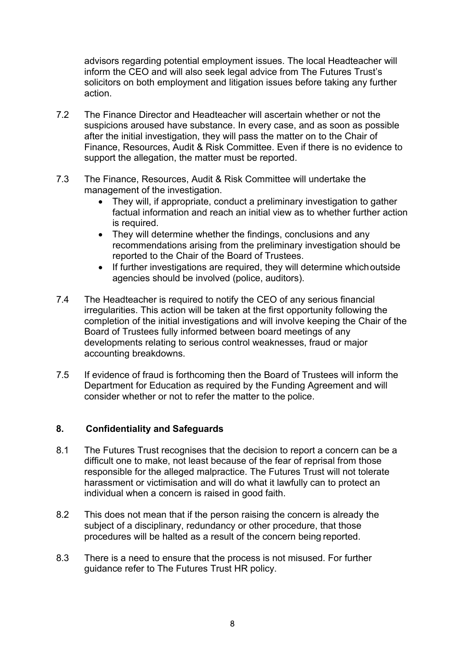advisors regarding potential employment issues. The local Headteacher will inform the CEO and will also seek legal advice from The Futures Trust's solicitors on both employment and litigation issues before taking any further action.

- 7.2 The Finance Director and Headteacher will ascertain whether or not the suspicions aroused have substance. In every case, and as soon as possible after the initial investigation, they will pass the matter on to the Chair of Finance, Resources, Audit & Risk Committee. Even if there is no evidence to support the allegation, the matter must be reported.
- 7.3 The Finance, Resources, Audit & Risk Committee will undertake the management of the investigation.
	- They will, if appropriate, conduct a preliminary investigation to gather factual information and reach an initial view as to whether further action is required.
	- They will determine whether the findings, conclusions and any recommendations arising from the preliminary investigation should be reported to the Chair of the Board of Trustees.
	- If further investigations are required, they will determine whichoutside agencies should be involved (police, auditors).
- 7.4 The Headteacher is required to notify the CEO of any serious financial irregularities. This action will be taken at the first opportunity following the completion of the initial investigations and will involve keeping the Chair of the Board of Trustees fully informed between board meetings of any developments relating to serious control weaknesses, fraud or major accounting breakdowns.
- 7.5 If evidence of fraud is forthcoming then the Board of Trustees will inform the Department for Education as required by the Funding Agreement and will consider whether or not to refer the matter to the police.

#### **8. Confidentiality and Safeguards**

- 8.1 The Futures Trust recognises that the decision to report a concern can be a difficult one to make, not least because of the fear of reprisal from those responsible for the alleged malpractice. The Futures Trust will not tolerate harassment or victimisation and will do what it lawfully can to protect an individual when a concern is raised in good faith.
- 8.2 This does not mean that if the person raising the concern is already the subject of a disciplinary, redundancy or other procedure, that those procedures will be halted as a result of the concern being reported.
- 8.3 There is a need to ensure that the process is not misused. For further guidance refer to The Futures Trust HR policy.